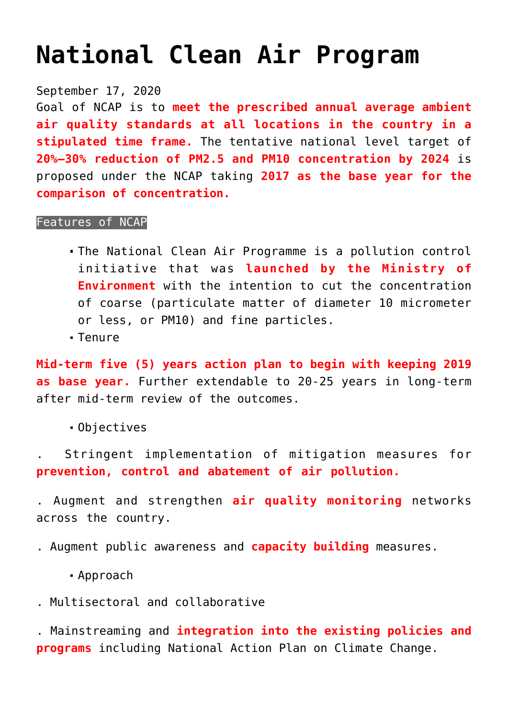## **[National Clean Air Program](https://journalsofindia.com/national-clean-air-program/)**

September 17, 2020

Goal of NCAP is to **meet the prescribed annual average ambient air quality standards at all locations in the country in a stipulated time frame.** The tentative national level target of **20%–30% reduction of PM2.5 and PM10 concentration by 2024** is proposed under the NCAP taking **2017 as the base year for the comparison of concentration.**

## Features of NCAP

- The National Clean Air Programme is a pollution control initiative that was **launched by the Ministry of Environment** with the intention to cut the concentration of coarse (particulate matter of diameter 10 micrometer or less, or PM10) and fine particles.
- Tenure

**Mid-term five (5) years action plan to begin with keeping 2019 as base year.** Further extendable to 20-25 years in long-term after mid-term review of the outcomes.

Objectives

. Stringent implementation of mitigation measures for **prevention, control and abatement of air pollution.**

. Augment and strengthen **air quality monitoring** networks across the country.

. Augment public awareness and **capacity building** measures.

Approach

. Multisectoral and collaborative

. Mainstreaming and **integration into the existing policies and programs** including National Action Plan on Climate Change.